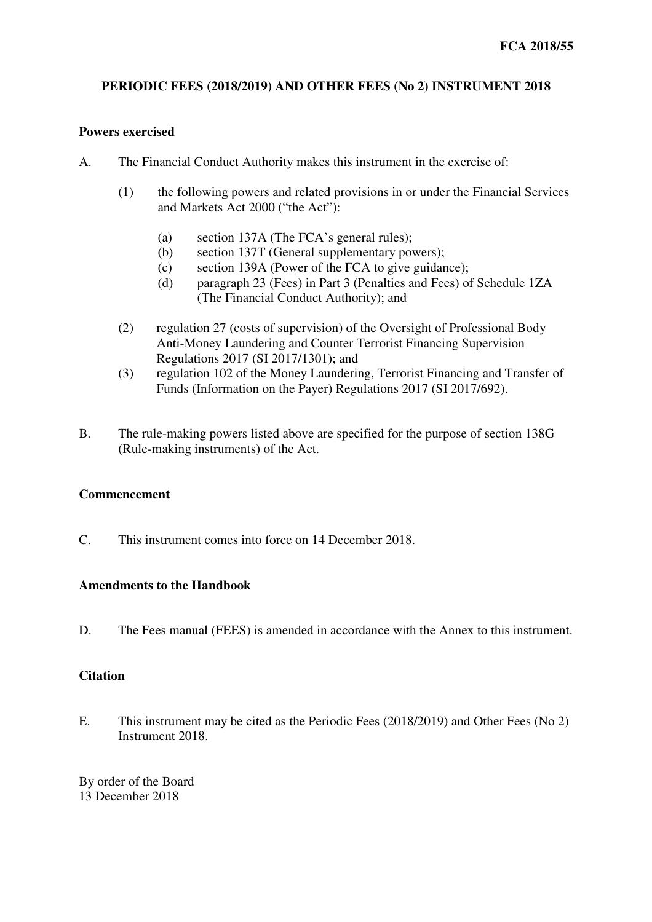# **PERIODIC FEES (2018/2019) AND OTHER FEES (No 2) INSTRUMENT 2018**

#### **Powers exercised**

- A. The Financial Conduct Authority makes this instrument in the exercise of:
	- (1) the following powers and related provisions in or under the Financial Services and Markets Act 2000 ("the Act"):
		- (a) section 137A (The FCA's general rules);
		- (b) section 137T (General supplementary powers);
		- (c) section 139A (Power of the FCA to give guidance);
		- (d) paragraph 23 (Fees) in Part 3 (Penalties and Fees) of Schedule 1ZA (The Financial Conduct Authority); and
	- (2) regulation 27 (costs of supervision) of the Oversight of Professional Body Anti-Money Laundering and Counter Terrorist Financing Supervision Regulations 2017 (SI 2017/1301); and
	- (3) regulation 102 of the Money Laundering, Terrorist Financing and Transfer of Funds (Information on the Payer) Regulations 2017 (SI 2017/692).
- B. The rule-making powers listed above are specified for the purpose of section 138G (Rule-making instruments) of the Act.

## **Commencement**

C. This instrument comes into force on 14 December 2018.

#### **Amendments to the Handbook**

D. The Fees manual (FEES) is amended in accordance with the Annex to this instrument.

#### **Citation**

E. This instrument may be cited as the Periodic Fees (2018/2019) and Other Fees (No 2) Instrument 2018.

By order of the Board 13 December 2018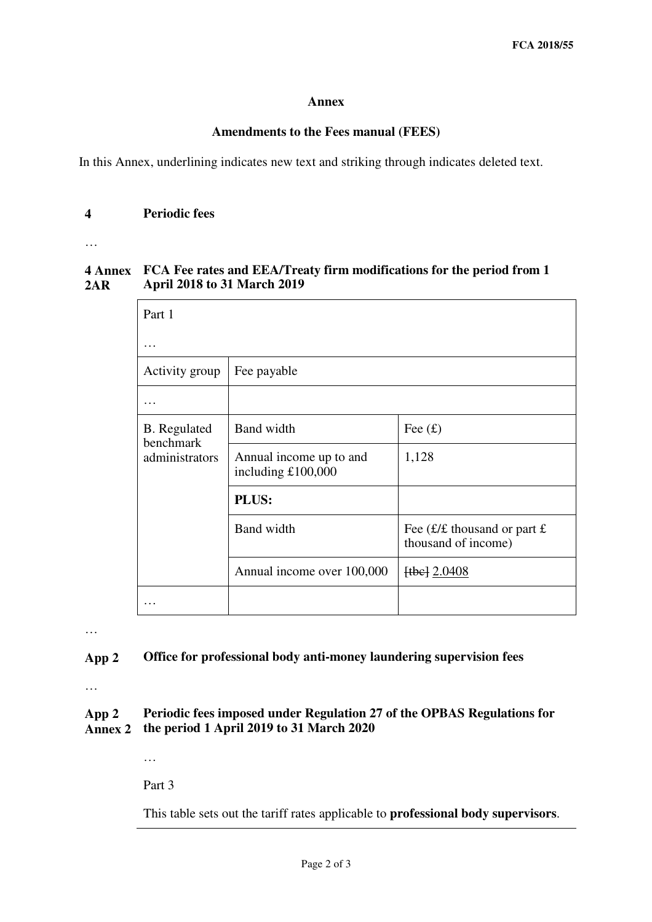#### **Annex**

## **Amendments to the Fees manual (FEES)**

In this Annex, underlining indicates new text and striking through indicates deleted text.

# **4 Periodic fees**

…

#### **4 Annex FCA Fee rates and EEA/Treaty firm modifications for the period from 1 2AR April 2018 to 31 March 2019**

| Part 1                                             |                                               |                                                       |
|----------------------------------------------------|-----------------------------------------------|-------------------------------------------------------|
| $\cdots$                                           |                                               |                                                       |
| Activity group                                     | Fee payable                                   |                                                       |
| $\cdot$                                            |                                               |                                                       |
| <b>B.</b> Regulated<br>benchmark<br>administrators | <b>Band</b> width                             | Fee $(f)$                                             |
|                                                    | Annual income up to and<br>including £100,000 | 1,128                                                 |
|                                                    | PLUS:                                         |                                                       |
|                                                    | <b>Band width</b>                             | Fee $(E/E)$ thousand or part £<br>thousand of income) |
|                                                    | Annual income over 100,000                    | $[tbe]$ 2.0408                                        |
|                                                    |                                               |                                                       |

…

## **App 2 Office for professional body anti-money laundering supervision fees**

…

#### **App 2 Annex 2 Periodic fees imposed under Regulation 27 of the OPBAS Regulations for the period 1 April 2019 to 31 March 2020**

…

Part 3

This table sets out the tariff rates applicable to **professional body supervisors**.